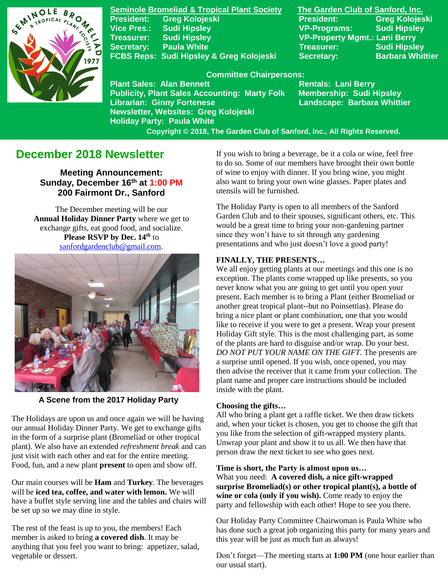

**Seminole Bromeliad & Tropical Plant Society The Garden Club of Sanford, Inc. President: Greg Kolojeski President: Greg Kolojeski Vice Pres.: Sudi Hipsley VP-Programs: Sudi Hipsley Treasurer: Sudi Hipsley VP-Property Mgmt.: Lani Berry Secretary:** Paula White **Network Secretary:** Sudi Hipsley FCBS Reps: Sudi Hipsley & Greg Kolojeski Secretary: Barbara Whittier

#### **Committee Chairpersons:**

**Plant Sales: Alan Bennett** Rentals: Lani Berry **Publicity, Plant Sales Accounting: Marty Folk Membership: Sudi Hipsley Librarian: Ginny Fortenese Landscape: Barbara Whittier Newsletter, Websites: Greg Kolojeski Holiday Party: Paula White** 

 **Copyright © 2018, The Garden Club of Sanford, Inc., All Rights Reserved.**

# **December 2018 Newsletter**

**Meeting Announcement: Sunday, December 16th at 1:00 PM 200 Fairmont Dr., Sanford**

The December meeting will be our **Annual Holiday Dinner Party** where we get to exchange gifts, eat good food, and socialize. **Please RSVP by Dec. 14th** to [sanfordgardenclub@gmail.com](mailto:sanfordgardenclub@gmail.com?subject=Holiday%20Party).



**A Scene from the 2017 Holiday Party**

The Holidays are upon us and once again we will be having our annual Holiday Dinner Party. We get to exchange gifts in the form of a surprise plant (Bromeliad or other tropical plant). We also have an extended *refreshment break* and can just visit with each other and eat for the entire meeting. Food, fun, and a new plant **present** to open and show off.

Our main courses will be **Ham** and **Turkey**. The beverages will be **iced tea, coffee, and water with lemon.** We will have a buffet style serving line and the tables and chairs will be set up so we may dine in style.

The rest of the feast is up to you, the members! Each member is asked to bring **a covered dish**. It may be anything that you feel you want to bring: appetizer, salad, vegetable or dessert.

If you wish to bring a beverage, be it a cola or wine, feel free to do so. Some of our members have brought their own bottle of wine to enjoy with dinner. If you bring wine, you might also want to bring your own wine glasses. Paper plates and utensils will be furnished.

The Holiday Party is open to all members of the Sanford Garden Club and to their spouses, significant others, etc. This would be a great time to bring your non-gardening partner since they won't have to sit through any gardening presentations and who just doesn't love a good party!

### **FINALLY, THE PRESENTS…**

We all enjoy getting plants at our meetings and this one is no exception. The plants come wrapped up like presents, so you never know what you are going to get until you open your present. Each member is to bring a Plant (either Bromeliad or another great tropical plant--but no Poinsettias). Please do bring a nice plant or plant combination, one that you would like to receive if you were to get a present. Wrap your present Holiday Gift style. This is the most challenging part, as some of the plants are hard to disguise and/or wrap. Do your best*. DO NOT PUT YOUR NAME ON THE GIFT.* The presents are a surprise until opened. If you wish, once opened, you may then advise the receiver that it came from your collection. The plant name and proper care instructions should be included inside with the plant.

### **Choosing the gifts…**

All who bring a plant get a raffle ticket. We then draw tickets and, when your ticket is chosen, you get to choose the gift that you like from the selection of gift-wrapped mystery plants. Unwrap your plant and show it to us all. We then have that person draw the next ticket to see who goes next.

**Time is short, the Party is almost upon us…** What you need: **A covered dish, a nice gift-wrapped surprise Bromeliad(s) or other tropical plant(s), a bottle of wine or cola (only if you wish).** Come ready to enjoy the party and fellowship with each other! Hope to see you there.

Our Holiday Party Committee Chairwoman is Paula White who has done such a great job organizing this party for many years and this year will be just as much fun as always!

Don't forget—The meeting starts at **1:00 PM** (one hour earlier than our usual start).